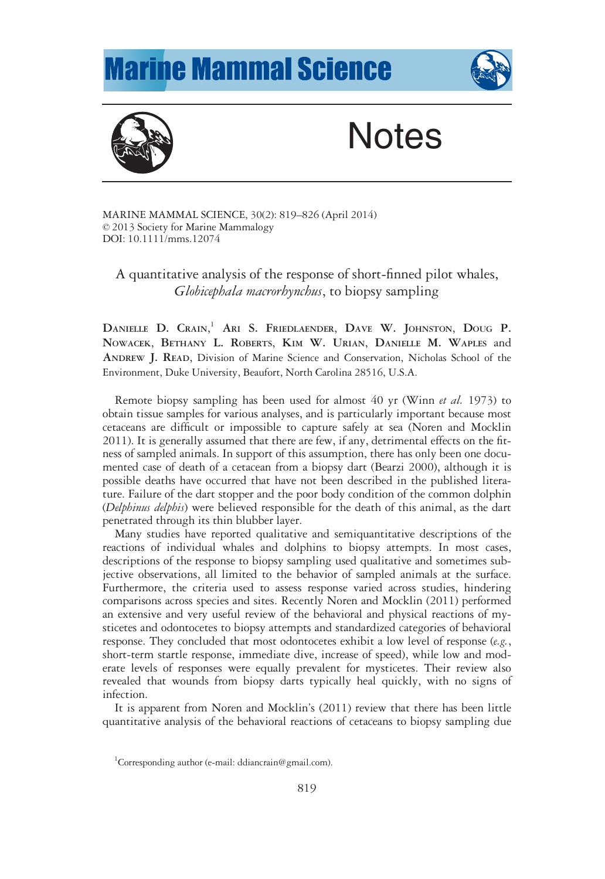## **Marine Mammal Science**





## **Notes**

MARINE MAMMAL SCIENCE, 30(2): 819–826 (April 2014) © 2013 Society for Marine Mammalogy DOI: 10.1111/mms.12074

A quantitative analysis of the response of short-finned pilot whales, Globicephala macrorhynchus, to biopsy sampling

DANIELLE D. CRAIN,<sup>1</sup> Ari S. Friedlaender, Dave W. Johnston, Doug P. NOWACEK, BETHANY L. ROBERTS, KIM W. URIAN, DANIELLE M. WAPLES and ANDREW J. READ, Division of Marine Science and Conservation, Nicholas School of the Environment, Duke University, Beaufort, North Carolina 28516, U.S.A.

Remote biopsy sampling has been used for almost 40 yr (Winn et al. 1973) to obtain tissue samples for various analyses, and is particularly important because most cetaceans are difficult or impossible to capture safely at sea (Noren and Mocklin 2011). It is generally assumed that there are few, if any, detrimental effects on the fitness of sampled animals. In support of this assumption, there has only been one documented case of death of a cetacean from a biopsy dart (Bearzi 2000), although it is possible deaths have occurred that have not been described in the published literature. Failure of the dart stopper and the poor body condition of the common dolphin (Delphinus delphis) were believed responsible for the death of this animal, as the dart penetrated through its thin blubber layer.

Many studies have reported qualitative and semiquantitative descriptions of the reactions of individual whales and dolphins to biopsy attempts. In most cases, descriptions of the response to biopsy sampling used qualitative and sometimes subjective observations, all limited to the behavior of sampled animals at the surface. Furthermore, the criteria used to assess response varied across studies, hindering comparisons across species and sites. Recently Noren and Mocklin (2011) performed an extensive and very useful review of the behavioral and physical reactions of mysticetes and odontocetes to biopsy attempts and standardized categories of behavioral response. They concluded that most odontocetes exhibit a low level of response  $(e.g.,)$ short-term startle response, immediate dive, increase of speed), while low and moderate levels of responses were equally prevalent for mysticetes. Their review also revealed that wounds from biopsy darts typically heal quickly, with no signs of infection.

It is apparent from Noren and Mocklin's (2011) review that there has been little quantitative analysis of the behavioral reactions of cetaceans to biopsy sampling due

<sup>&</sup>lt;sup>1</sup>Corresponding author (e-mail: ddiancrain@gmail.com).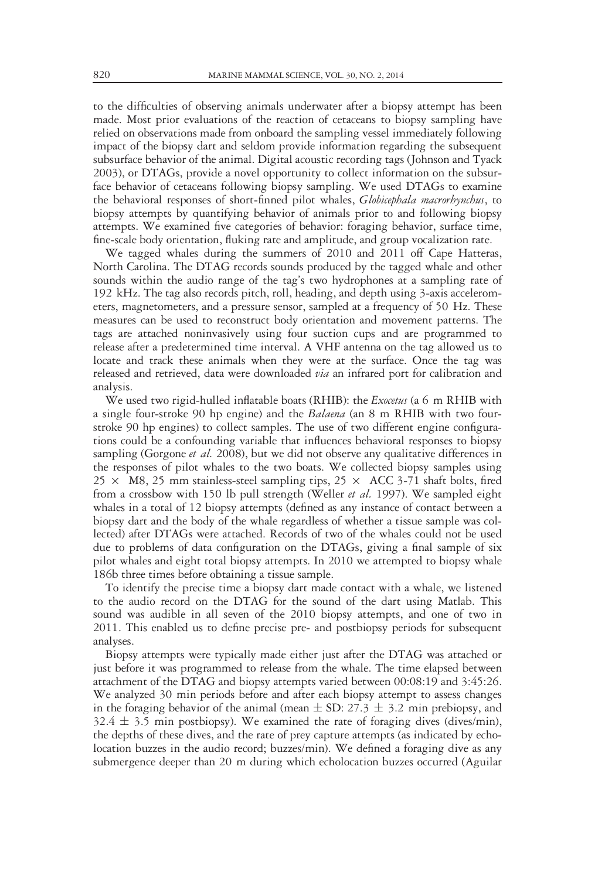to the difficulties of observing animals underwater after a biopsy attempt has been made. Most prior evaluations of the reaction of cetaceans to biopsy sampling have relied on observations made from onboard the sampling vessel immediately following impact of the biopsy dart and seldom provide information regarding the subsequent subsurface behavior of the animal. Digital acoustic recording tags (Johnson and Tyack 2003), or DTAGs, provide a novel opportunity to collect information on the subsurface behavior of cetaceans following biopsy sampling. We used DTAGs to examine the behavioral responses of short-finned pilot whales, *Globicephala macrorhynchus*, to biopsy attempts by quantifying behavior of animals prior to and following biopsy attempts. We examined five categories of behavior: foraging behavior, surface time, fine-scale body orientation, fluking rate and amplitude, and group vocalization rate.

We tagged whales during the summers of 2010 and 2011 off Cape Hatteras, North Carolina. The DTAG records sounds produced by the tagged whale and other sounds within the audio range of the tag's two hydrophones at a sampling rate of 192 kHz. The tag also records pitch, roll, heading, and depth using 3-axis accelerometers, magnetometers, and a pressure sensor, sampled at a frequency of 50 Hz. These measures can be used to reconstruct body orientation and movement patterns. The tags are attached noninvasively using four suction cups and are programmed to release after a predetermined time interval. A VHF antenna on the tag allowed us to locate and track these animals when they were at the surface. Once the tag was released and retrieved, data were downloaded via an infrared port for calibration and analysis.

We used two rigid-hulled inflatable boats (RHIB): the *Exocetus* (a 6 m RHIB with a single four-stroke 90 hp engine) and the *Balaena* (an 8 m RHIB with two fourstroke 90 hp engines) to collect samples. The use of two different engine configurations could be a confounding variable that influences behavioral responses to biopsy sampling (Gorgone *et al.* 2008), but we did not observe any qualitative differences in the responses of pilot whales to the two boats. We collected biopsy samples using  $25 \times$  M8, 25 mm stainless-steel sampling tips,  $25 \times$  ACC 3-71 shaft bolts, fired from a crossbow with 150 lb pull strength (Weller et al. 1997). We sampled eight whales in a total of 12 biopsy attempts (defined as any instance of contact between a biopsy dart and the body of the whale regardless of whether a tissue sample was collected) after DTAGs were attached. Records of two of the whales could not be used due to problems of data configuration on the DTAGs, giving a final sample of six pilot whales and eight total biopsy attempts. In 2010 we attempted to biopsy whale 186b three times before obtaining a tissue sample.

To identify the precise time a biopsy dart made contact with a whale, we listened to the audio record on the DTAG for the sound of the dart using Matlab. This sound was audible in all seven of the 2010 biopsy attempts, and one of two in 2011. This enabled us to define precise pre- and postbiopsy periods for subsequent analyses.

Biopsy attempts were typically made either just after the DTAG was attached or just before it was programmed to release from the whale. The time elapsed between attachment of the DTAG and biopsy attempts varied between 00:08:19 and 3:45:26. We analyzed 30 min periods before and after each biopsy attempt to assess changes in the foraging behavior of the animal (mean  $\pm$  SD: 27.3  $\pm$  3.2 min prebiopsy, and  $32.4 \pm 3.5$  min postbiopsy). We examined the rate of foraging dives (dives/min), the depths of these dives, and the rate of prey capture attempts (as indicated by echolocation buzzes in the audio record; buzzes/min). We defined a foraging dive as any submergence deeper than 20 m during which echolocation buzzes occurred (Aguilar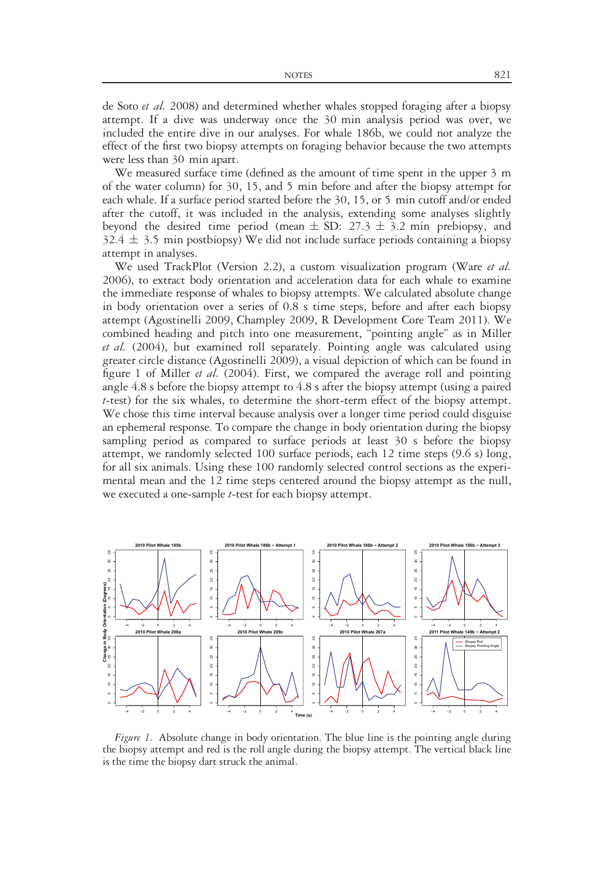de Soto *et al.* 2008) and determined whether whales stopped foraging after a biopsy attempt. If a dive was underway once the 30 min analysis period was over, we included the entire dive in our analyses. For whale 186b, we could not analyze the effect of the first two biopsy attempts on foraging behavior because the two attempts were less than 30 min apart.

We measured surface time (defined as the amount of time spent in the upper 3 m of the water column) for 30, 15, and 5 min before and after the biopsy attempt for each whale. If a surface period started before the 30, 15, or 5 min cutoff and/or ended after the cutoff, it was included in the analysis, extending some analyses slightly beyond the desired time period (mean  $\pm$  SD: 27.3  $\pm$  3.2 min prebiopsy, and  $32.4 \pm 3.5$  min postbiopsy) We did not include surface periods containing a biopsy attempt in analyses.

We used TrackPlot (Version 2.2), a custom visualization program (Ware et al. 2006), to extract body orientation and acceleration data for each whale to examine the immediate response of whales to biopsy attempts. We calculated absolute change in body orientation over a series of 0.8 s time steps, before and after each biopsy attempt (Agostinelli 2009, Champley 2009, R Development Core Team 2011). We combined heading and pitch into one measurement, "pointing angle" as in Miller et al. (2004), but examined roll separately. Pointing angle was calculated using greater circle distance (Agostinelli 2009), a visual depiction of which can be found in figure 1 of Miller *et al.* (2004). First, we compared the average roll and pointing angle 4.8 s before the biopsy attempt to 4.8 s after the biopsy attempt (using a paired  $t$ -test) for the six whales, to determine the short-term effect of the biopsy attempt. We chose this time interval because analysis over a longer time period could disguise an ephemeral response. To compare the change in body orientation during the biopsy sampling period as compared to surface periods at least 30 s before the biopsy attempt, we randomly selected 100 surface periods, each 12 time steps (9.6 s) long, for all six animals. Using these 100 randomly selected control sections as the experimental mean and the 12 time steps centered around the biopsy attempt as the null, we executed a one-sample *t*-test for each biopsy attempt.



Figure 1. Absolute change in body orientation. The blue line is the pointing angle during the biopsy attempt and red is the roll angle during the biopsy attempt. The vertical black line is the time the biopsy dart struck the animal.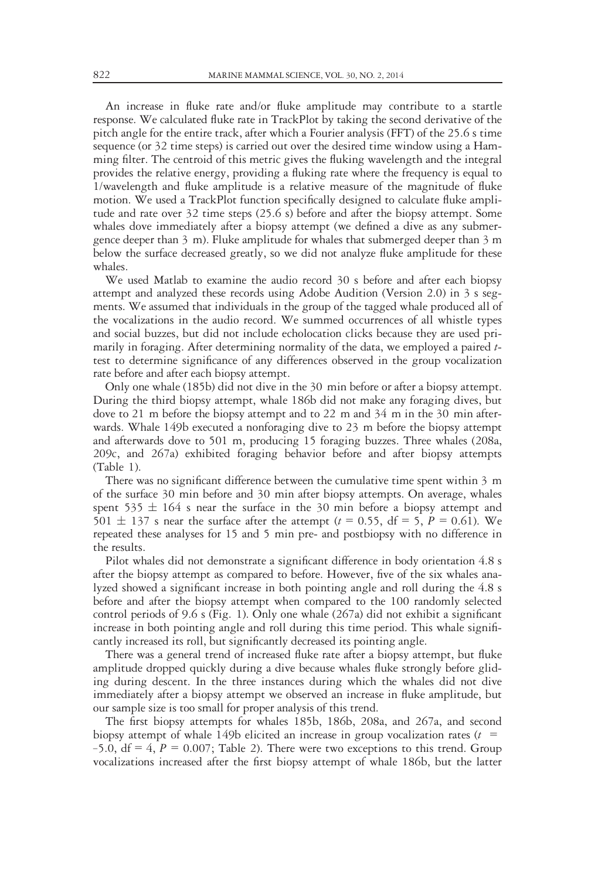An increase in fluke rate and/or fluke amplitude may contribute to a startle response. We calculated fluke rate in TrackPlot by taking the second derivative of the pitch angle for the entire track, after which a Fourier analysis (FFT) of the 25.6 s time sequence (or 32 time steps) is carried out over the desired time window using a Hamming filter. The centroid of this metric gives the fluking wavelength and the integral provides the relative energy, providing a fluking rate where the frequency is equal to 1/wavelength and fluke amplitude is a relative measure of the magnitude of fluke motion. We used a TrackPlot function specifically designed to calculate fluke amplitude and rate over 32 time steps (25.6 s) before and after the biopsy attempt. Some whales dove immediately after a biopsy attempt (we defined a dive as any submergence deeper than 3 m). Fluke amplitude for whales that submerged deeper than 3 m below the surface decreased greatly, so we did not analyze fluke amplitude for these whales.

We used Matlab to examine the audio record 30 s before and after each biopsy attempt and analyzed these records using Adobe Audition (Version 2.0) in 3 s segments. We assumed that individuals in the group of the tagged whale produced all of the vocalizations in the audio record. We summed occurrences of all whistle types and social buzzes, but did not include echolocation clicks because they are used primarily in foraging. After determining normality of the data, we employed a paired ttest to determine significance of any differences observed in the group vocalization rate before and after each biopsy attempt.

Only one whale (185b) did not dive in the 30 min before or after a biopsy attempt. During the third biopsy attempt, whale 186b did not make any foraging dives, but dove to 21 m before the biopsy attempt and to 22 m and 34 m in the 30 min afterwards. Whale 149b executed a nonforaging dive to 23 m before the biopsy attempt and afterwards dove to 501 m, producing 15 foraging buzzes. Three whales (208a, 209c, and 267a) exhibited foraging behavior before and after biopsy attempts (Table 1).

There was no significant difference between the cumulative time spent within 3 m of the surface 30 min before and 30 min after biopsy attempts. On average, whales spent 535  $\pm$  164 s near the surface in the 30 min before a biopsy attempt and 501  $\pm$  137 s near the surface after the attempt (t = 0.55, df = 5, P = 0.61). We repeated these analyses for 15 and 5 min pre- and postbiopsy with no difference in the results.

Pilot whales did not demonstrate a significant difference in body orientation 4.8 s after the biopsy attempt as compared to before. However, five of the six whales analyzed showed a significant increase in both pointing angle and roll during the 4.8 s before and after the biopsy attempt when compared to the 100 randomly selected control periods of 9.6 s (Fig. 1). Only one whale (267a) did not exhibit a significant increase in both pointing angle and roll during this time period. This whale significantly increased its roll, but significantly decreased its pointing angle.

There was a general trend of increased fluke rate after a biopsy attempt, but fluke amplitude dropped quickly during a dive because whales fluke strongly before gliding during descent. In the three instances during which the whales did not dive immediately after a biopsy attempt we observed an increase in fluke amplitude, but our sample size is too small for proper analysis of this trend.

The first biopsy attempts for whales 185b, 186b, 208a, and 267a, and second biopsy attempt of whale 149b elicited an increase in group vocalization rates ( $t =$ –5.0,  $df = 4$ ,  $P = 0.007$ ; Table 2). There were two exceptions to this trend. Group vocalizations increased after the first biopsy attempt of whale 186b, but the latter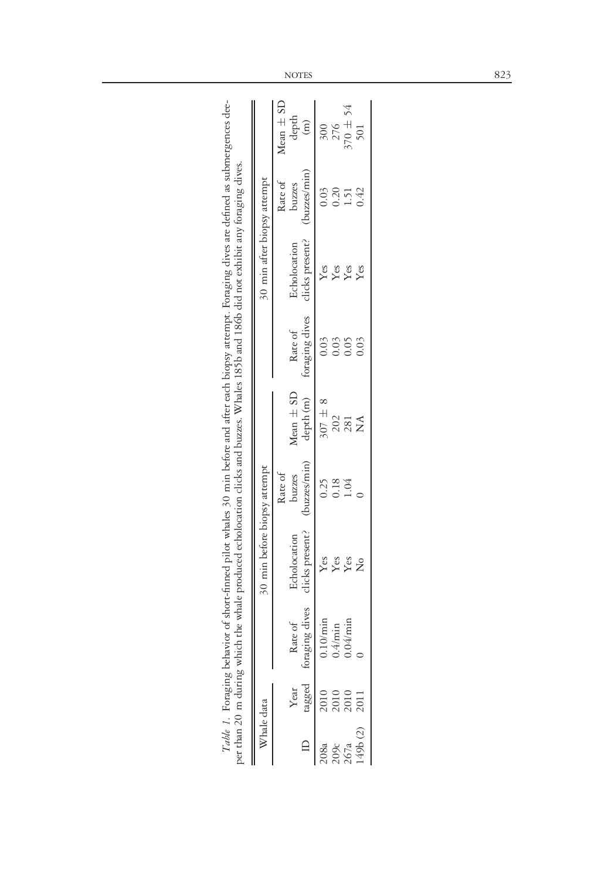| clicks present?<br>Echolocation<br>$Y$ es<br>Yes<br>Yes<br>$\overline{Z}$  | Table 1. Foraging behavior of short-finned pilot whales 30 min before and after each biopsy attempt. Foraging dives are defined as submergences dee-<br>the whale produced echolocation clicks and buzzes. Whales 185b and 186b did not exhibit any foraging dives. | 30 min after biopsy attempt<br>30 min before biopsy attempt | Mean $\pm$ SD<br>Rate of<br>Rate of | depth<br>buzzes<br>Echolocation<br>Rate of<br>Mean $\pm$ SD<br>buzzes | $\binom{m}{m}$<br>(buzzes/min)<br>clicks present?<br>foraging dives<br>depth (m)<br>buzzes/min) | 0.03<br>$Y$ es<br>0.03<br>$307 \pm 8$<br>0.25 | 276<br>0.20<br>Yes<br>0.03<br>202<br>0.18 | $70 + 54$<br>$-51$<br>$Y$ es<br>0.05<br>281<br>1.04 | 501<br>142<br>Yes<br>0.03<br>$\mathop{\mathsf{X}}\nolimits$ |
|----------------------------------------------------------------------------|---------------------------------------------------------------------------------------------------------------------------------------------------------------------------------------------------------------------------------------------------------------------|-------------------------------------------------------------|-------------------------------------|-----------------------------------------------------------------------|-------------------------------------------------------------------------------------------------|-----------------------------------------------|-------------------------------------------|-----------------------------------------------------|-------------------------------------------------------------|
| ng dives<br>$\frac{1}{2}$<br>$4$ /min<br>Rate of<br>/min<br>).4<br>foragii |                                                                                                                                                                                                                                                                     |                                                             |                                     |                                                                       | agged                                                                                           |                                               |                                           |                                                     |                                                             |
| per than 20 m during which<br>Year<br>2010<br>2010                         |                                                                                                                                                                                                                                                                     | Whale data                                                  |                                     |                                                                       |                                                                                                 |                                               | 209c<br>267a                              |                                                     | 49b(2)                                                      |

NOTES 823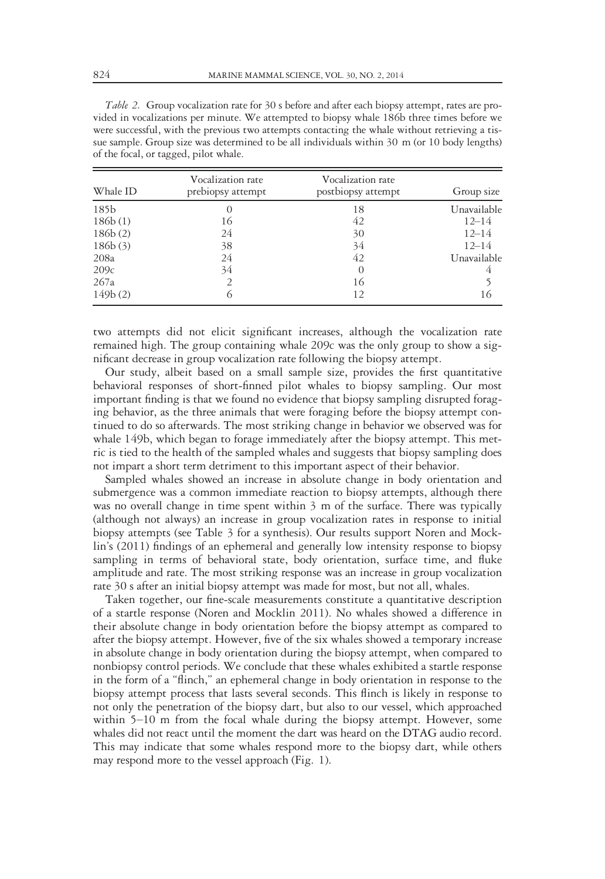| Table 2. Group vocalization rate for 30 s before and after each biopsy attempt, rates are pro- |
|------------------------------------------------------------------------------------------------|
| vided in vocalizations per minute. We attempted to biopsy whale 186b three times before we     |
| were successful, with the previous two attempts contacting the whale without retrieving a tis- |
| sue sample. Group size was determined to be all individuals within 30 m (or 10 body lengths)   |
| of the focal, or tagged, pilot whale.                                                          |

| Whale ID | Vocalization rate<br>prebiopsy attempt | Vocalization rate<br>postbiopsy attempt | Group size  |  |
|----------|----------------------------------------|-----------------------------------------|-------------|--|
| 185b     | $\left( \right)$                       | 18                                      | Unavailable |  |
| 186b(1)  | 16                                     | 42                                      | $12 - 14$   |  |
| 186b(2)  | 24                                     | 30                                      | $12 - 14$   |  |
| 186b(3)  | 38                                     | 34                                      | $12 - 14$   |  |
| 208a     | 24                                     | 42                                      | Unavailable |  |
| 209c     | 34                                     | $\Omega$                                | 4           |  |
| 267a     |                                        | 16                                      |             |  |
| 149b(2)  | $\bigcirc$                             | 12                                      | 16          |  |

two attempts did not elicit significant increases, although the vocalization rate remained high. The group containing whale 209c was the only group to show a significant decrease in group vocalization rate following the biopsy attempt.

Our study, albeit based on a small sample size, provides the first quantitative behavioral responses of short-finned pilot whales to biopsy sampling. Our most important finding is that we found no evidence that biopsy sampling disrupted foraging behavior, as the three animals that were foraging before the biopsy attempt continued to do so afterwards. The most striking change in behavior we observed was for whale 149b, which began to forage immediately after the biopsy attempt. This metric is tied to the health of the sampled whales and suggests that biopsy sampling does not impart a short term detriment to this important aspect of their behavior.

Sampled whales showed an increase in absolute change in body orientation and submergence was a common immediate reaction to biopsy attempts, although there was no overall change in time spent within 3 m of the surface. There was typically (although not always) an increase in group vocalization rates in response to initial biopsy attempts (see Table 3 for a synthesis). Our results support Noren and Mocklin's (2011) findings of an ephemeral and generally low intensity response to biopsy sampling in terms of behavioral state, body orientation, surface time, and fluke amplitude and rate. The most striking response was an increase in group vocalization rate 30 s after an initial biopsy attempt was made for most, but not all, whales.

Taken together, our fine-scale measurements constitute a quantitative description of a startle response (Noren and Mocklin 2011). No whales showed a difference in their absolute change in body orientation before the biopsy attempt as compared to after the biopsy attempt. However, five of the six whales showed a temporary increase in absolute change in body orientation during the biopsy attempt, when compared to nonbiopsy control periods. We conclude that these whales exhibited a startle response in the form of a "flinch," an ephemeral change in body orientation in response to the biopsy attempt process that lasts several seconds. This flinch is likely in response to not only the penetration of the biopsy dart, but also to our vessel, which approached within 5–10 m from the focal whale during the biopsy attempt. However, some whales did not react until the moment the dart was heard on the DTAG audio record. This may indicate that some whales respond more to the biopsy dart, while others may respond more to the vessel approach (Fig. 1).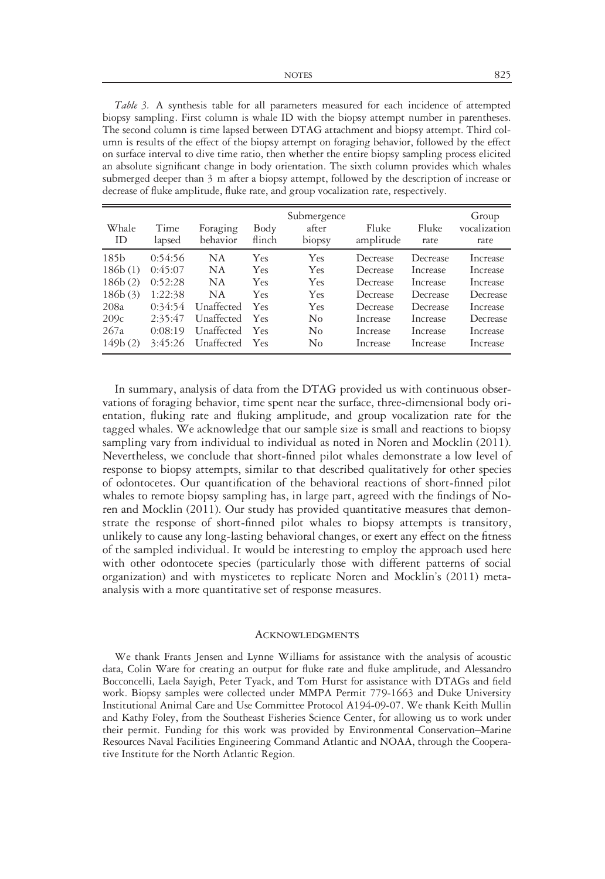Table 3. A synthesis table for all parameters measured for each incidence of attempted biopsy sampling. First column is whale ID with the biopsy attempt number in parentheses. The second column is time lapsed between DTAG attachment and biopsy attempt. Third column is results of the effect of the biopsy attempt on foraging behavior, followed by the effect on surface interval to dive time ratio, then whether the entire biopsy sampling process elicited an absolute significant change in body orientation. The sixth column provides which whales submerged deeper than 3 m after a biopsy attempt, followed by the description of increase or decrease of fluke amplitude, fluke rate, and group vocalization rate, respectively.

| Whale<br>ID | Time<br>lapsed | Foraging<br>behavior | Body<br>flinch | Submergence<br>after<br>biopsy | Fluke<br>amplitude | Fluke<br>rate | Group<br>vocalization<br>rate |
|-------------|----------------|----------------------|----------------|--------------------------------|--------------------|---------------|-------------------------------|
| 185b        | 0:54:56        | NA                   | Yes            | Yes                            | Decrease           | Decrease      | Increase                      |
| 186b(1)     | 0:45:07        | NA                   | Yes            | <b>Yes</b>                     | Decrease           | Increase      | Increase                      |
| 186b(2)     | 0:52:28        | NA                   | Yes            | <b>Yes</b>                     | Decrease           | Increase      | Increase                      |
| 186b(3)     | 1:22:38        | NA                   | Yes            | Yes                            | Decrease           | Decrease      | Decrease                      |
| 208a        | 0:34:54        | Unaffected           | Yes            | Yes                            | Decrease           | Decrease      | Increase                      |
| 209c        | 2:35:47        | Unaffected           | Yes            | No                             | Increase           | Increase      | Decrease                      |
| 267a        | 0:08:19        | Unaffected           | Yes            | $\rm No$                       | Increase           | Increase      | Increase                      |
| 149b(2)     | 3:45:26        | Unaffected           | Yes            | No                             | Increase           | Increase      | Increase                      |

In summary, analysis of data from the DTAG provided us with continuous observations of foraging behavior, time spent near the surface, three-dimensional body orientation, fluking rate and fluking amplitude, and group vocalization rate for the tagged whales. We acknowledge that our sample size is small and reactions to biopsy sampling vary from individual to individual as noted in Noren and Mocklin (2011). Nevertheless, we conclude that short-finned pilot whales demonstrate a low level of response to biopsy attempts, similar to that described qualitatively for other species of odontocetes. Our quantification of the behavioral reactions of short-finned pilot whales to remote biopsy sampling has, in large part, agreed with the findings of Noren and Mocklin (2011). Our study has provided quantitative measures that demonstrate the response of short-finned pilot whales to biopsy attempts is transitory, unlikely to cause any long-lasting behavioral changes, or exert any effect on the fitness of the sampled individual. It would be interesting to employ the approach used here with other odontocete species (particularly those with different patterns of social organization) and with mysticetes to replicate Noren and Mocklin's (2011) metaanalysis with a more quantitative set of response measures.

## **ACKNOWLEDGMENTS**

We thank Frants Jensen and Lynne Williams for assistance with the analysis of acoustic data, Colin Ware for creating an output for fluke rate and fluke amplitude, and Alessandro Bocconcelli, Laela Sayigh, Peter Tyack, and Tom Hurst for assistance with DTAGs and field work. Biopsy samples were collected under MMPA Permit 779-1663 and Duke University Institutional Animal Care and Use Committee Protocol A194-09-07. We thank Keith Mullin and Kathy Foley, from the Southeast Fisheries Science Center, for allowing us to work under their permit. Funding for this work was provided by Environmental Conservation–Marine Resources Naval Facilities Engineering Command Atlantic and NOAA, through the Cooperative Institute for the North Atlantic Region.